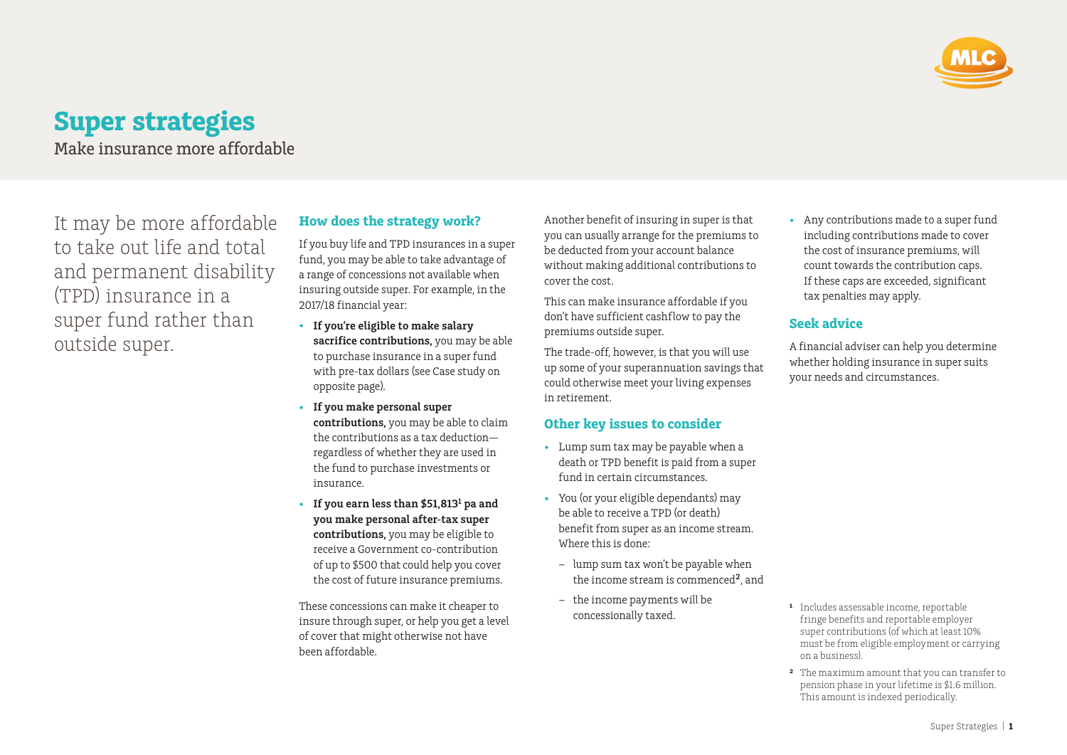

# **Super strategies** Make insurance more affordable

It may be more affordable to take out life and total and permanent disability (TPD) insurance in a super fund rather than outside super.

# **How does the strategy work?**

If you buy life and TPD insurances in a super fund, you may be able to take advantage of a range of concessions not available when insuring outside super. For example, in the 2017/18 financial year:

- **If you're eligible to make salary sacrifice contributions,** you may be able to purchase insurance in a super fund with pre-tax dollars (see Case study on opposite page).
- **If you make personal super contributions,** you may be able to claim the contributions as a tax deduction regardless of whether they are used in the fund to purchase investments or insurance.
- **If you earn less than \$51,8131 pa and you make personal after-tax super contributions,** you may be eligible to receive a Government co-contribution of up to \$500 that could help you cover the cost of future insurance premiums.

These concessions can make it cheaper to insure through super, or help you get a level of cover that might otherwise not have been affordable.

Another benefit of insuring in super is that you can usually arrange for the premiums to be deducted from your account balance without making additional contributions to cover the cost.

This can make insurance affordable if you don't have sufficient cashflow to pay the premiums outside super.

The trade-off, however, is that you will use up some of your superannuation savings that could otherwise meet your living expenses in retirement.

### **Other key issues to consider**

- Lump sum tax may be payable when a death or TPD benefit is paid from a super fund in certain circumstances.
- You (or your eligible dependants) may be able to receive a TPD (or death) benefit from super as an income stream. Where this is done:
	- lump sum tax won't be payable when the income stream is commenced**2**, and
	- the income payments will be concessionally taxed.

• Any contributions made to a super fund including contributions made to cover the cost of insurance premiums, will count towards the contribution caps. If these caps are exceeded, significant tax penalties may apply.

# **Seek advice**

A financial adviser can help you determine whether holding insurance in super suits your needs and circumstances.

- <sup>1</sup> Includes assessable income, reportable fringe benefits and reportable employer super contributions (of which at least 10% must be from eligible employment or carrying on a business).
- **²** The maximum amount that you can transfer to pension phase in your lifetime is \$1.6 million. This amount is indexed periodically.